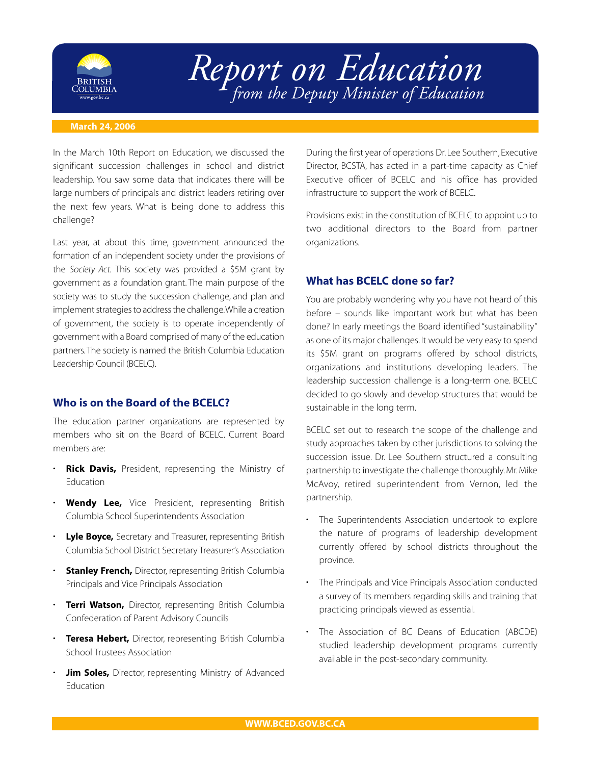

# *Report on Education from the Deputy Minister of Education*

#### **March 24, 2006**

In the March 10th Report on Education, we discussed the significant succession challenges in school and district leadership. You saw some data that indicates there will be large numbers of principals and district leaders retiring over the next few years. What is being done to address this challenge?

Last year, at about this time, government announced the formation of an independent society under the provisions of the *Society Act.* This society was provided a \$5M grant by government as a foundation grant. The main purpose of the society was to study the succession challenge, and plan and implement strategies to address the challenge.While a creation of government, the society is to operate independently of government with a Board comprised of many of the education partners. The society is named the British Columbia Education Leadership Council (BCELC).

# **Who is on the Board of the BCELC?**

The education partner organizations are represented by members who sit on the Board of BCELC. Current Board members are:

- **Rick Davis,** President, representing the Ministry of Education
- **Wendy Lee,** Vice President, representing British Columbia School Superintendents Association
- **Lyle Boyce,** Secretary and Treasurer, representing British Columbia School District Secretary Treasurer's Association
- **Stanley French,** Director, representing British Columbia Principals and Vice Principals Association
- **Terri Watson,** Director, representing British Columbia Confederation of Parent Advisory Councils
- **Teresa Hebert,** Director, representing British Columbia School Trustees Association
- **Jim Soles,** Director, representing Ministry of Advanced Education

During the first year of operations Dr.Lee Southern, Executive Director, BCSTA, has acted in a part-time capacity as Chief Executive officer of BCELC and his office has provided infrastructure to support the work of BCELC.

Provisions exist in the constitution of BCELC to appoint up to two additional directors to the Board from partner organizations.

# **What has BCELC done so far?**

You are probably wondering why you have not heard of this before – sounds like important work but what has been done? In early meetings the Board identified "sustainability" as one of its major challenges. It would be very easy to spend its \$5M grant on programs offered by school districts, organizations and institutions developing leaders. The leadership succession challenge is a long-term one. BCELC decided to go slowly and develop structures that would be sustainable in the long term.

BCELC set out to research the scope of the challenge and study approaches taken by other jurisdictions to solving the succession issue. Dr. Lee Southern structured a consulting partnership to investigate the challenge thoroughly. Mr. Mike McAvoy, retired superintendent from Vernon, led the partnership.

- The Superintendents Association undertook to explore the nature of programs of leadership development currently offered by school districts throughout the province.
- The Principals and Vice Principals Association conducted a survey of its members regarding skills and training that practicing principals viewed as essential.
- The Association of BC Deans of Education (ABCDE) studied leadership development programs currently available in the post-secondary community.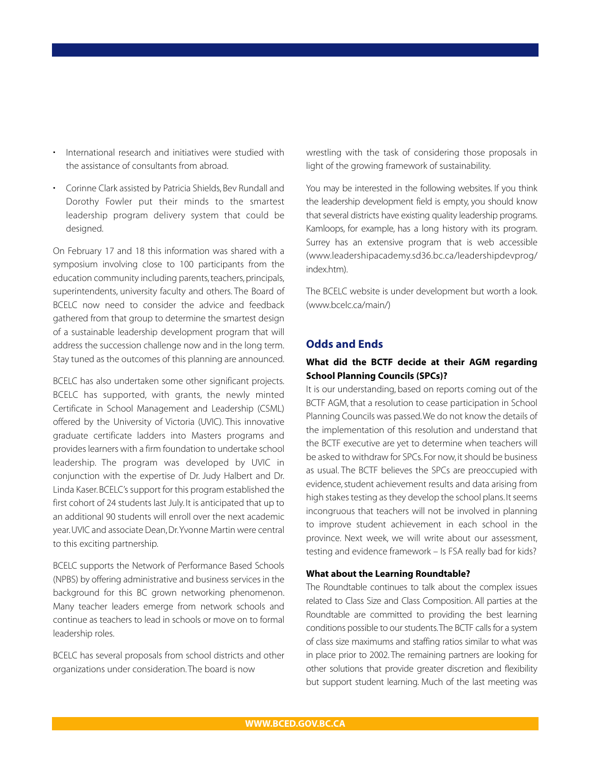- International research and initiatives were studied with the assistance of consultants from abroad.
- Corinne Clark assisted by Patricia Shields, Bev Rundall and Dorothy Fowler put their minds to the smartest leadership program delivery system that could be designed.

On February 17 and 18 this information was shared with a symposium involving close to 100 participants from the education community including parents, teachers, principals, superintendents, university faculty and others. The Board of BCELC now need to consider the advice and feedback gathered from that group to determine the smartest design of a sustainable leadership development program that will address the succession challenge now and in the long term. Stay tuned as the outcomes of this planning are announced.

BCELC has also undertaken some other significant projects. BCELC has supported, with grants, the newly minted Certificate in School Management and Leadership (CSML) offered by the University of Victoria (UVIC). This innovative graduate certificate ladders into Masters programs and provides learners with a firm foundation to undertake school leadership. The program was developed by UVIC in conjunction with the expertise of Dr. Judy Halbert and Dr. Linda Kaser. BCELC's support for this program established the first cohort of 24 students last July. It is anticipated that up to an additional 90 students will enroll over the next academic year.UVIC and associate Dean, Dr.Yvonne Martin were central to this exciting partnership.

BCELC supports the Network of Performance Based Schools (NPBS) by offering administrative and business services in the background for this BC grown networking phenomenon. Many teacher leaders emerge from network schools and continue as teachers to lead in schools or move on to formal leadership roles.

BCELC has several proposals from school districts and other organizations under consideration. The board is now

wrestling with the task of considering those proposals in light of the growing framework of sustainability.

You may be interested in the following websites. If you think the leadership development field is empty, you should know that several districts have existing quality leadership programs. Kamloops, for example, has a long history with its program. Surrey has an extensive program that is web accessible (www.leadershipacademy.sd36.bc.ca/leadershipdevprog/ index.htm).

The BCELC website is under development but worth a look. (www.bcelc.ca/main/)

# **Odds and Ends**

# **What did the BCTF decide at their AGM regarding School Planning Councils (SPCs)?**

It is our understanding, based on reports coming out of the BCTF AGM, that a resolution to cease participation in School Planning Councils was passed.We do not know the details of the implementation of this resolution and understand that the BCTF executive are yet to determine when teachers will be asked to withdraw for SPCs. For now, it should be business as usual. The BCTF believes the SPCs are preoccupied with evidence, student achievement results and data arising from high stakes testing as they develop the school plans.It seems incongruous that teachers will not be involved in planning to improve student achievement in each school in the province. Next week, we will write about our assessment, testing and evidence framework – Is FSA really bad for kids?

### **What about the Learning Roundtable?**

The Roundtable continues to talk about the complex issues related to Class Size and Class Composition. All parties at the Roundtable are committed to providing the best learning conditions possible to our students.The BCTF calls for a system of class size maximums and staffing ratios similar to what was in place prior to 2002. The remaining partners are looking for other solutions that provide greater discretion and flexibility but support student learning. Much of the last meeting was